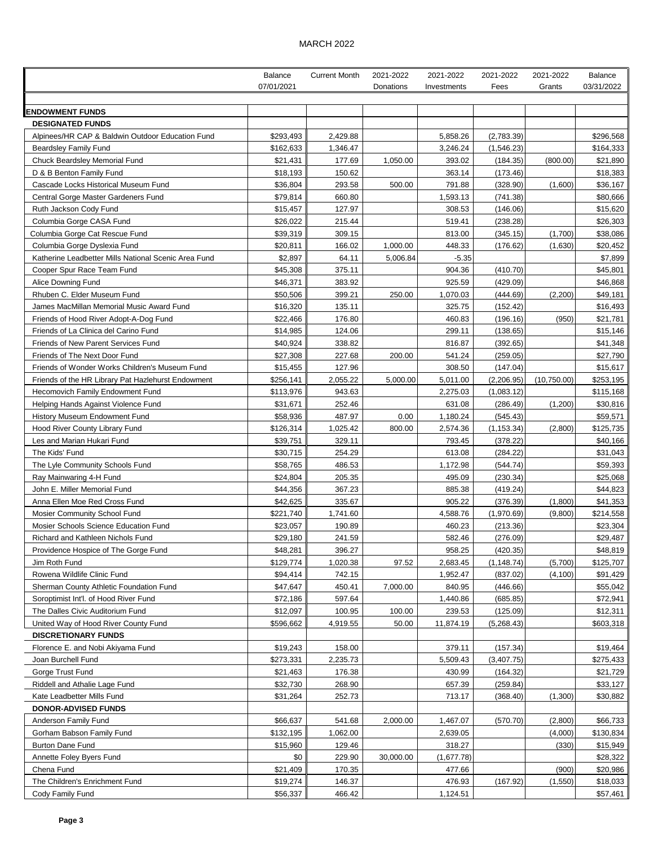## MARCH 2022

|                                                            | Balance              | <b>Current Month</b> | 2021-2022 | 2021-2022          | 2021-2022            | 2021-2022   | <b>Balance</b>       |
|------------------------------------------------------------|----------------------|----------------------|-----------|--------------------|----------------------|-------------|----------------------|
|                                                            | 07/01/2021           |                      | Donations | Investments        | Fees                 | Grants      | 03/31/2022           |
|                                                            |                      |                      |           |                    |                      |             |                      |
| <b>ENDOWMENT FUNDS</b>                                     |                      |                      |           |                    |                      |             |                      |
| <b>DESIGNATED FUNDS</b>                                    |                      |                      |           |                    |                      |             |                      |
| Alpinees/HR CAP & Baldwin Outdoor Education Fund           | \$293,493            | 2,429.88             |           | 5,858.26           | (2,783.39)           |             | \$296,568            |
| <b>Beardsley Family Fund</b>                               | \$162,633            | 1,346.47             |           | 3,246.24           | (1,546.23)           |             | \$164,333            |
| Chuck Beardsley Memorial Fund                              | \$21,431             | 177.69               | 1,050.00  | 393.02             | (184.35)             | (800.00)    | \$21,890             |
| D & B Benton Family Fund                                   | \$18,193             | 150.62               |           | 363.14             | (173.46)             |             | \$18,383             |
| Cascade Locks Historical Museum Fund                       | \$36,804             | 293.58               | 500.00    | 791.88             | (328.90)             | (1,600)     | \$36,167             |
| Central Gorge Master Gardeners Fund                        | \$79,814             | 660.80               |           | 1,593.13           | (741.38)             |             | \$80,666             |
| Ruth Jackson Cody Fund                                     | \$15,457             | 127.97               |           | 308.53             | (146.06)             |             | \$15,620             |
| Columbia Gorge CASA Fund                                   | \$26,022             | 215.44               |           | 519.41             | (238.28)             |             | \$26,303             |
| Columbia Gorge Cat Rescue Fund                             | \$39,319             | 309.15               |           | 813.00             | (345.15)             | (1,700)     | \$38,086             |
| Columbia Gorge Dyslexia Fund                               | \$20,811             | 166.02               | 1,000.00  | 448.33             | (176.62)             | (1,630)     | \$20,452             |
| Katherine Leadbetter Mills National Scenic Area Fund       | \$2,897              | 64.11                | 5,006.84  | $-5.35$            |                      |             | \$7,899              |
| Cooper Spur Race Team Fund                                 | \$45,308             | 375.11               |           | 904.36             | (410.70)             |             | \$45,801             |
| Alice Downing Fund                                         | \$46,371             | 383.92               |           | 925.59             | (429.09)             |             | \$46,868             |
| Rhuben C. Elder Museum Fund                                | \$50,506             | 399.21               | 250.00    | 1,070.03           | (444.69)             | (2, 200)    | \$49,181             |
| James MacMillan Memorial Music Award Fund                  | \$16,320             | 135.11               |           | 325.75             | (152.42)             |             | \$16,493             |
| Friends of Hood River Adopt-A-Dog Fund                     | \$22,466             | 176.80               |           | 460.83             | (196.16)             | (950)       | \$21,781             |
| Friends of La Clinica del Carino Fund                      | \$14,985             | 124.06               |           | 299.11             | (138.65)             |             | \$15,146             |
| Friends of New Parent Services Fund                        | \$40,924             | 338.82               |           | 816.87             | (392.65)             |             | \$41,348             |
| Friends of The Next Door Fund                              | \$27,308             | 227.68               | 200.00    | 541.24             | (259.05)             |             | \$27,790             |
| Friends of Wonder Works Children's Museum Fund             | \$15,455             | 127.96               |           | 308.50             | (147.04)             |             | \$15,617             |
| Friends of the HR Library Pat Hazlehurst Endowment         | \$256,141            | 2,055.22             | 5,000.00  | 5,011.00           | (2,206.95)           | (10,750.00) | \$253,195            |
| <b>Hecomovich Family Endowment Fund</b>                    | \$113,976            | 943.63               |           | 2,275.03           | (1,083.12)           |             | \$115,168            |
| Helping Hands Against Violence Fund                        | \$31,671             | 252.46               |           | 631.08             | (286.49)             | (1,200)     | \$30,816             |
| History Museum Endowment Fund                              | \$58,936             | 487.97               | 0.00      | 1,180.24           | (545.43)             |             | \$59,571             |
| Hood River County Library Fund                             | \$126,314            | 1,025.42             | 800.00    | 2,574.36           | (1, 153.34)          | (2,800)     | \$125,735            |
| Les and Marian Hukari Fund                                 | \$39,751             | 329.11               |           | 793.45             | (378.22)             |             | \$40,166             |
| The Kids' Fund                                             | \$30,715             | 254.29<br>486.53     |           | 613.08             | (284.22)             |             | \$31,043             |
| The Lyle Community Schools Fund<br>Ray Mainwaring 4-H Fund | \$58,765<br>\$24,804 | 205.35               |           | 1,172.98<br>495.09 | (544.74)<br>(230.34) |             | \$59,393<br>\$25,068 |
| John E. Miller Memorial Fund                               | \$44,356             | 367.23               |           | 885.38             | (419.24)             |             |                      |
| Anna Ellen Moe Red Cross Fund                              | \$42,625             | 335.67               |           | 905.22             | (376.39)             | (1,800)     | \$44,823<br>\$41,353 |
| Mosier Community School Fund                               | \$221,740            | 1,741.60             |           | 4,588.76           | (1,970.69)           | (9,800)     | \$214,558            |
| Mosier Schools Science Education Fund                      | \$23,057             | 190.89               |           | 460.23             | (213.36)             |             | \$23,304             |
| Richard and Kathleen Nichols Fund                          | \$29,180             | 241.59               |           | 582.46             | (276.09)             |             | \$29,487             |
| Providence Hospice of The Gorge Fund                       | \$48,281             | 396.27               |           | 958.25             | (420.35)             |             | \$48,819             |
| Jim Roth Fund                                              | \$129,774            | 1,020.38             | 97.52     | 2,683.45           | (1, 148.74)          | (5,700)     | \$125,707            |
| Rowena Wildlife Clinic Fund                                | \$94,414             | 742.15               |           | 1,952.47           | (837.02)             | (4, 100)    | \$91,429             |
| Sherman County Athletic Foundation Fund                    | \$47,647             | 450.41               | 7,000.00  | 840.95             | (446.66)             |             | \$55,042             |
| Soroptimist Int'l. of Hood River Fund                      | \$72,186             | 597.64               |           | 1,440.86           | (685.85)             |             | \$72,941             |
| The Dalles Civic Auditorium Fund                           | \$12,097             | 100.95               | 100.00    | 239.53             | (125.09)             |             | \$12,311             |
| United Way of Hood River County Fund                       | \$596,662            | 4,919.55             | 50.00     | 11,874.19          | (5,268.43)           |             | \$603,318            |
| <b>DISCRETIONARY FUNDS</b>                                 |                      |                      |           |                    |                      |             |                      |
| Florence E. and Nobi Akiyama Fund                          | \$19,243             | 158.00               |           | 379.11             | (157.34)             |             | \$19,464             |
| Joan Burchell Fund                                         | \$273,331            | 2,235.73             |           | 5,509.43           | (3,407.75)           |             | \$275,433            |
| Gorge Trust Fund                                           | \$21,463             | 176.38               |           | 430.99             | (164.32)             |             | \$21,729             |
| Riddell and Athalie Lage Fund                              | \$32,730             | 268.90               |           | 657.39             | (259.84)             |             | \$33,127             |
| Kate Leadbetter Mills Fund                                 | \$31,264             | 252.73               |           | 713.17             | (368.40)             | (1,300)     | \$30,882             |
| <b>DONOR-ADVISED FUNDS</b>                                 |                      |                      |           |                    |                      |             |                      |
| Anderson Family Fund                                       | \$66,637             | 541.68               | 2,000.00  | 1,467.07           | (570.70)             | (2,800)     | \$66,733             |
| Gorham Babson Family Fund                                  | \$132,195            | 1,062.00             |           | 2,639.05           |                      | (4,000)     | \$130,834            |
| <b>Burton Dane Fund</b>                                    | \$15,960             | 129.46               |           | 318.27             |                      | (330)       | \$15,949             |
| Annette Foley Byers Fund                                   | \$0                  | 229.90               | 30,000.00 | (1,677.78)         |                      |             | \$28,322             |
| Chena Fund                                                 | \$21,409             | 170.35               |           | 477.66             |                      | (900)       | \$20,986             |
| The Children's Enrichment Fund                             | \$19,274             | 146.37               |           | 476.93             | (167.92)             | (1,550)     | \$18,033             |
| Cody Family Fund                                           | \$56,337             | 466.42               |           | 1,124.51           |                      |             | \$57,461             |
|                                                            |                      |                      |           |                    |                      |             |                      |